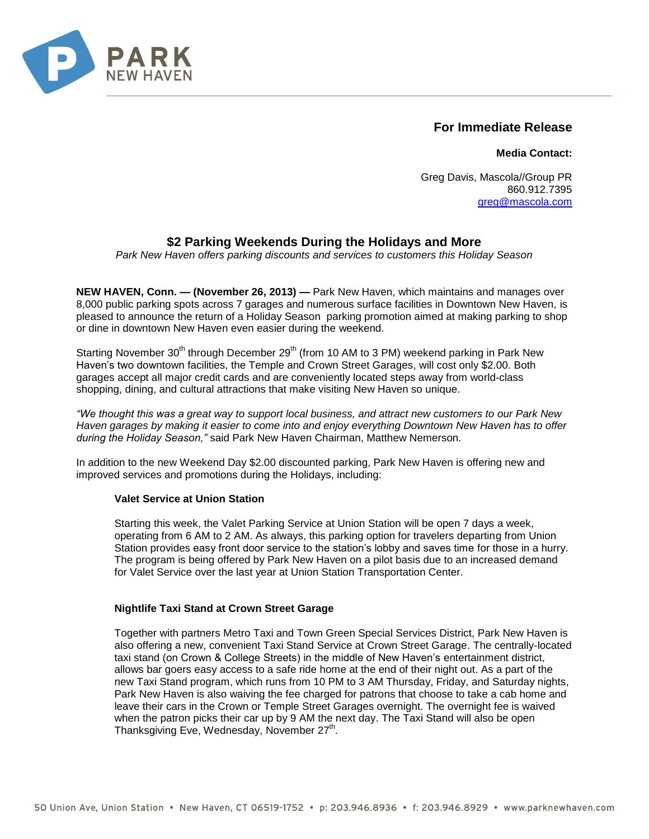

## **For Immediate Release**

**Media Contact:**

Greg Davis, Mascola//Group PR 860.912.7395 [greg@mascola.com](mailto:greg@mascola.com)

# **\$2 Parking Weekends During the Holidays and More**

*Park New Haven offers parking discounts and services to customers this Holiday Season*

**NEW HAVEN, Conn. — (November 26, 2013) —** Park New Haven, which maintains and manages over 8,000 public parking spots across 7 garages and numerous surface facilities in Downtown New Haven, is pleased to announce the return of a Holiday Season parking promotion aimed at making parking to shop or dine in downtown New Haven even easier during the weekend.

Starting November 30<sup>th</sup> through December 29<sup>th</sup> (from 10 AM to 3 PM) weekend parking in Park New Haven's two downtown facilities, the Temple and Crown Street Garages, will cost only \$2.00. Both garages accept all major credit cards and are conveniently located steps away from world-class shopping, dining, and cultural attractions that make visiting New Haven so unique.

*"We thought this was a great way to support local business, and attract new customers to our Park New Haven garages by making it easier to come into and enjoy everything Downtown New Haven has to offer during the Holiday Season,"* said Park New Haven Chairman, Matthew Nemerson.

In addition to the new Weekend Day \$2.00 discounted parking, Park New Haven is offering new and improved services and promotions during the Holidays, including:

## **Valet Service at Union Station**

Starting this week, the Valet Parking Service at Union Station will be open 7 days a week, operating from 6 AM to 2 AM. As always, this parking option for travelers departing from Union Station provides easy front door service to the station's lobby and saves time for those in a hurry. The program is being offered by Park New Haven on a pilot basis due to an increased demand for Valet Service over the last year at Union Station Transportation Center.

## **Nightlife Taxi Stand at Crown Street Garage**

Together with partners Metro Taxi and Town Green Special Services District, Park New Haven is also offering a new, convenient Taxi Stand Service at Crown Street Garage. The centrally-located taxi stand (on Crown & College Streets) in the middle of New Haven's entertainment district, allows bar goers easy access to a safe ride home at the end of their night out. As a part of the new Taxi Stand program, which runs from 10 PM to 3 AM Thursday, Friday, and Saturday nights, Park New Haven is also waiving the fee charged for patrons that choose to take a cab home and leave their cars in the Crown or Temple Street Garages overnight. The overnight fee is waived when the patron picks their car up by 9 AM the next day. The Taxi Stand will also be open Thanksgiving Eve, Wednesday, November 27<sup>th</sup>.